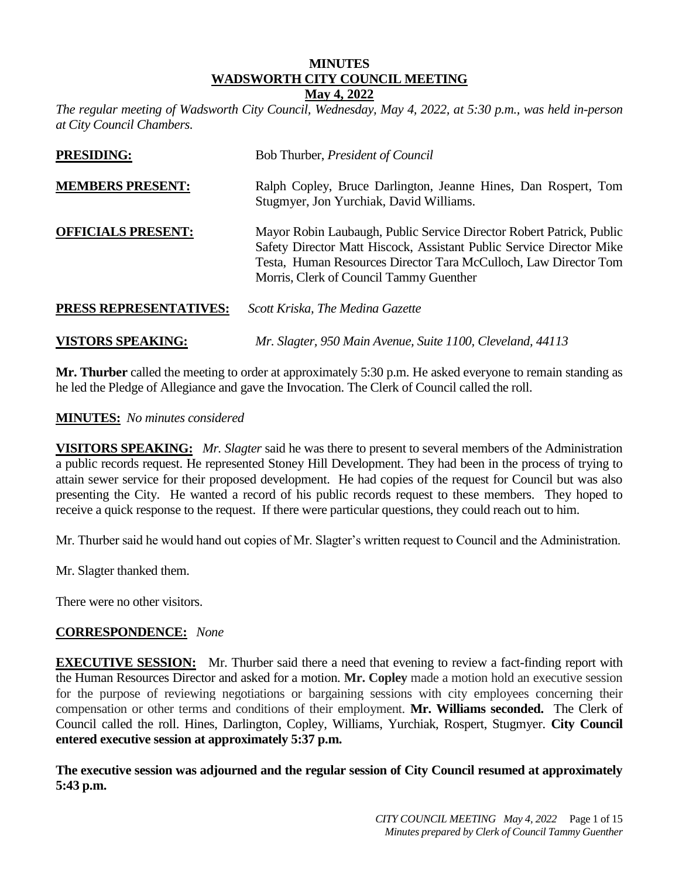# **MINUTES WADSWORTH CITY COUNCIL MEETING**

#### **May 4, 2022**

*The regular meeting of Wadsworth City Council, Wednesday, May 4, 2022, at 5:30 p.m., was held in-person at City Council Chambers.* 

| <b>PRESIDING:</b>         | Bob Thurber, President of Council                                                                                                                                                                                                                           |
|---------------------------|-------------------------------------------------------------------------------------------------------------------------------------------------------------------------------------------------------------------------------------------------------------|
| <b>MEMBERS PRESENT:</b>   | Ralph Copley, Bruce Darlington, Jeanne Hines, Dan Rospert, Tom<br>Stugmyer, Jon Yurchiak, David Williams.                                                                                                                                                   |
| <b>OFFICIALS PRESENT:</b> | Mayor Robin Laubaugh, Public Service Director Robert Patrick, Public<br>Safety Director Matt Hiscock, Assistant Public Service Director Mike<br>Testa, Human Resources Director Tara McCulloch, Law Director Tom<br>Morris, Clerk of Council Tammy Guenther |
| PRESS REPRESENTATIVES:    | Scott Kriska, The Medina Gazette                                                                                                                                                                                                                            |
| <b>VISTORS SPEAKING:</b>  | Mr. Slagter, 950 Main Avenue, Suite 1100, Cleveland, 44113                                                                                                                                                                                                  |

**Mr. Thurber** called the meeting to order at approximately 5:30 p.m. He asked everyone to remain standing as he led the Pledge of Allegiance and gave the Invocation. The Clerk of Council called the roll.

## **MINUTES:** *No minutes considered*

**VISITORS SPEAKING:** *Mr. Slagter* said he was there to present to several members of the Administration a public records request. He represented Stoney Hill Development. They had been in the process of trying to attain sewer service for their proposed development. He had copies of the request for Council but was also presenting the City. He wanted a record of his public records request to these members. They hoped to receive a quick response to the request. If there were particular questions, they could reach out to him.

Mr. Thurber said he would hand out copies of Mr. Slagter's written request to Council and the Administration.

Mr. Slagter thanked them.

There were no other visitors.

## **CORRESPONDENCE:** *None*

**EXECUTIVE SESSION:** Mr. Thurber said there a need that evening to review a fact-finding report with the Human Resources Director and asked for a motion. **Mr. Copley** made a motion hold an executive session for the purpose of reviewing negotiations or bargaining sessions with city employees concerning their compensation or other terms and conditions of their employment. **Mr. Williams seconded.** The Clerk of Council called the roll. Hines, Darlington, Copley, Williams, Yurchiak, Rospert, Stugmyer. **City Council entered executive session at approximately 5:37 p.m.**

**The executive session was adjourned and the regular session of City Council resumed at approximately 5:43 p.m.**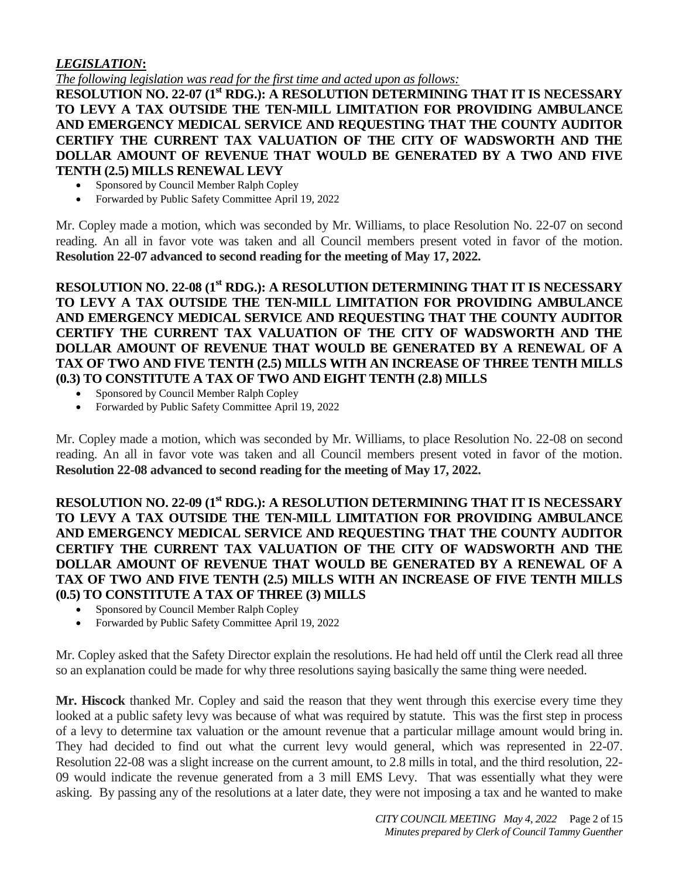## *LEGISLATION***:**

*The following legislation was read for the first time and acted upon as follows:*

**RESOLUTION NO. 22-07 (1 st RDG.): A RESOLUTION DETERMINING THAT IT IS NECESSARY TO LEVY A TAX OUTSIDE THE TEN-MILL LIMITATION FOR PROVIDING AMBULANCE AND EMERGENCY MEDICAL SERVICE AND REQUESTING THAT THE COUNTY AUDITOR CERTIFY THE CURRENT TAX VALUATION OF THE CITY OF WADSWORTH AND THE DOLLAR AMOUNT OF REVENUE THAT WOULD BE GENERATED BY A TWO AND FIVE TENTH (2.5) MILLS RENEWAL LEVY** 

- Sponsored by Council Member Ralph Copley
- Forwarded by Public Safety Committee April 19, 2022

Mr. Copley made a motion, which was seconded by Mr. Williams, to place Resolution No. 22-07 on second reading. An all in favor vote was taken and all Council members present voted in favor of the motion. **Resolution 22-07 advanced to second reading for the meeting of May 17, 2022.**

**RESOLUTION NO. 22-08 (1 st RDG.): A RESOLUTION DETERMINING THAT IT IS NECESSARY TO LEVY A TAX OUTSIDE THE TEN-MILL LIMITATION FOR PROVIDING AMBULANCE AND EMERGENCY MEDICAL SERVICE AND REQUESTING THAT THE COUNTY AUDITOR CERTIFY THE CURRENT TAX VALUATION OF THE CITY OF WADSWORTH AND THE DOLLAR AMOUNT OF REVENUE THAT WOULD BE GENERATED BY A RENEWAL OF A TAX OF TWO AND FIVE TENTH (2.5) MILLS WITH AN INCREASE OF THREE TENTH MILLS (0.3) TO CONSTITUTE A TAX OF TWO AND EIGHT TENTH (2.8) MILLS** 

- Sponsored by Council Member Ralph Copley
- Forwarded by Public Safety Committee April 19, 2022

Mr. Copley made a motion, which was seconded by Mr. Williams, to place Resolution No. 22-08 on second reading. An all in favor vote was taken and all Council members present voted in favor of the motion. **Resolution 22-08 advanced to second reading for the meeting of May 17, 2022.**

**RESOLUTION NO. 22-09 (1 st RDG.): A RESOLUTION DETERMINING THAT IT IS NECESSARY TO LEVY A TAX OUTSIDE THE TEN-MILL LIMITATION FOR PROVIDING AMBULANCE AND EMERGENCY MEDICAL SERVICE AND REQUESTING THAT THE COUNTY AUDITOR CERTIFY THE CURRENT TAX VALUATION OF THE CITY OF WADSWORTH AND THE DOLLAR AMOUNT OF REVENUE THAT WOULD BE GENERATED BY A RENEWAL OF A TAX OF TWO AND FIVE TENTH (2.5) MILLS WITH AN INCREASE OF FIVE TENTH MILLS (0.5) TO CONSTITUTE A TAX OF THREE (3) MILLS** 

- Sponsored by Council Member Ralph Copley
- Forwarded by Public Safety Committee April 19, 2022

Mr. Copley asked that the Safety Director explain the resolutions. He had held off until the Clerk read all three so an explanation could be made for why three resolutions saying basically the same thing were needed.

**Mr. Hiscock** thanked Mr. Copley and said the reason that they went through this exercise every time they looked at a public safety levy was because of what was required by statute. This was the first step in process of a levy to determine tax valuation or the amount revenue that a particular millage amount would bring in. They had decided to find out what the current levy would general, which was represented in 22-07. Resolution 22-08 was a slight increase on the current amount, to 2.8 mills in total, and the third resolution, 22- 09 would indicate the revenue generated from a 3 mill EMS Levy. That was essentially what they were asking. By passing any of the resolutions at a later date, they were not imposing a tax and he wanted to make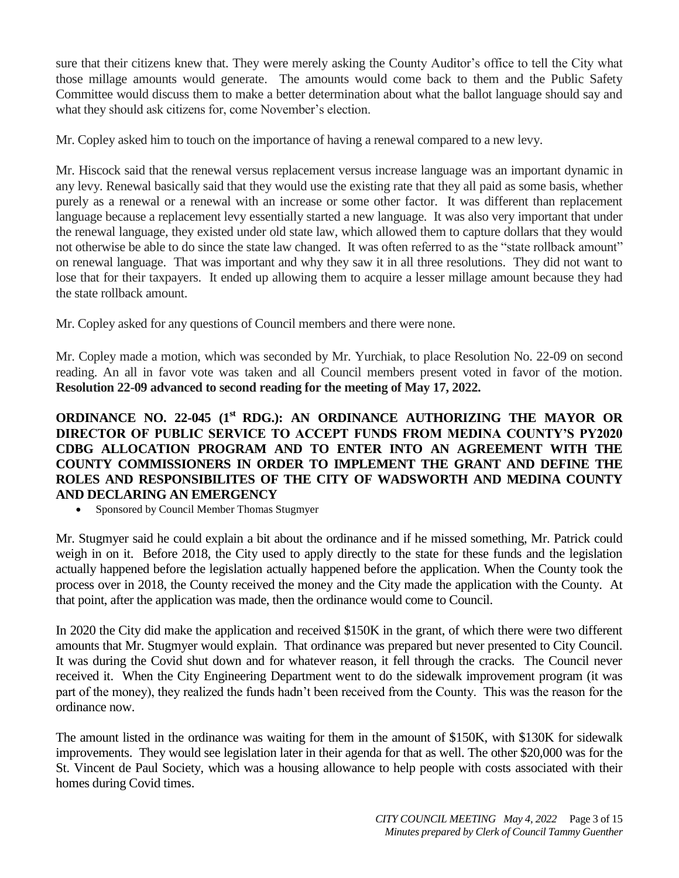sure that their citizens knew that. They were merely asking the County Auditor's office to tell the City what those millage amounts would generate. The amounts would come back to them and the Public Safety Committee would discuss them to make a better determination about what the ballot language should say and what they should ask citizens for, come November's election.

Mr. Copley asked him to touch on the importance of having a renewal compared to a new levy.

Mr. Hiscock said that the renewal versus replacement versus increase language was an important dynamic in any levy. Renewal basically said that they would use the existing rate that they all paid as some basis, whether purely as a renewal or a renewal with an increase or some other factor. It was different than replacement language because a replacement levy essentially started a new language. It was also very important that under the renewal language, they existed under old state law, which allowed them to capture dollars that they would not otherwise be able to do since the state law changed. It was often referred to as the "state rollback amount" on renewal language. That was important and why they saw it in all three resolutions. They did not want to lose that for their taxpayers. It ended up allowing them to acquire a lesser millage amount because they had the state rollback amount.

Mr. Copley asked for any questions of Council members and there were none.

Mr. Copley made a motion, which was seconded by Mr. Yurchiak, to place Resolution No. 22-09 on second reading. An all in favor vote was taken and all Council members present voted in favor of the motion. **Resolution 22-09 advanced to second reading for the meeting of May 17, 2022.**

## **ORDINANCE NO. 22-045 (1st RDG.): AN ORDINANCE AUTHORIZING THE MAYOR OR DIRECTOR OF PUBLIC SERVICE TO ACCEPT FUNDS FROM MEDINA COUNTY'S PY2020 CDBG ALLOCATION PROGRAM AND TO ENTER INTO AN AGREEMENT WITH THE COUNTY COMMISSIONERS IN ORDER TO IMPLEMENT THE GRANT AND DEFINE THE ROLES AND RESPONSIBILITES OF THE CITY OF WADSWORTH AND MEDINA COUNTY AND DECLARING AN EMERGENCY**

Sponsored by Council Member Thomas Stugmyer

Mr. Stugmyer said he could explain a bit about the ordinance and if he missed something, Mr. Patrick could weigh in on it. Before 2018, the City used to apply directly to the state for these funds and the legislation actually happened before the legislation actually happened before the application. When the County took the process over in 2018, the County received the money and the City made the application with the County. At that point, after the application was made, then the ordinance would come to Council.

In 2020 the City did make the application and received \$150K in the grant, of which there were two different amounts that Mr. Stugmyer would explain. That ordinance was prepared but never presented to City Council. It was during the Covid shut down and for whatever reason, it fell through the cracks. The Council never received it. When the City Engineering Department went to do the sidewalk improvement program (it was part of the money), they realized the funds hadn't been received from the County. This was the reason for the ordinance now.

The amount listed in the ordinance was waiting for them in the amount of \$150K, with \$130K for sidewalk improvements. They would see legislation later in their agenda for that as well. The other \$20,000 was for the St. Vincent de Paul Society, which was a housing allowance to help people with costs associated with their homes during Covid times.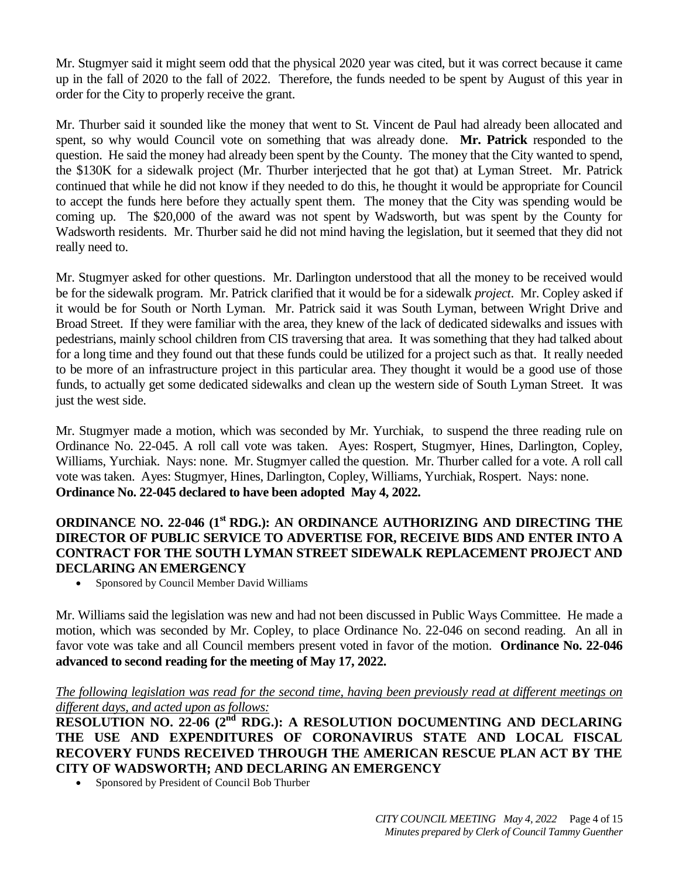Mr. Stugmyer said it might seem odd that the physical 2020 year was cited, but it was correct because it came up in the fall of 2020 to the fall of 2022. Therefore, the funds needed to be spent by August of this year in order for the City to properly receive the grant.

Mr. Thurber said it sounded like the money that went to St. Vincent de Paul had already been allocated and spent, so why would Council vote on something that was already done. **Mr. Patrick** responded to the question. He said the money had already been spent by the County. The money that the City wanted to spend, the \$130K for a sidewalk project (Mr. Thurber interjected that he got that) at Lyman Street. Mr. Patrick continued that while he did not know if they needed to do this, he thought it would be appropriate for Council to accept the funds here before they actually spent them. The money that the City was spending would be coming up. The \$20,000 of the award was not spent by Wadsworth, but was spent by the County for Wadsworth residents. Mr. Thurber said he did not mind having the legislation, but it seemed that they did not really need to.

Mr. Stugmyer asked for other questions. Mr. Darlington understood that all the money to be received would be for the sidewalk program. Mr. Patrick clarified that it would be for a sidewalk *project*. Mr. Copley asked if it would be for South or North Lyman. Mr. Patrick said it was South Lyman, between Wright Drive and Broad Street. If they were familiar with the area, they knew of the lack of dedicated sidewalks and issues with pedestrians, mainly school children from CIS traversing that area. It was something that they had talked about for a long time and they found out that these funds could be utilized for a project such as that. It really needed to be more of an infrastructure project in this particular area. They thought it would be a good use of those funds, to actually get some dedicated sidewalks and clean up the western side of South Lyman Street. It was just the west side.

Mr. Stugmyer made a motion, which was seconded by Mr. Yurchiak, to suspend the three reading rule on Ordinance No. 22-045. A roll call vote was taken. Ayes: Rospert, Stugmyer, Hines, Darlington, Copley, Williams, Yurchiak. Nays: none. Mr. Stugmyer called the question. Mr. Thurber called for a vote. A roll call vote was taken. Ayes: Stugmyer, Hines, Darlington, Copley, Williams, Yurchiak, Rospert. Nays: none. **Ordinance No. 22-045 declared to have been adopted May 4, 2022.**

## **ORDINANCE NO. 22-046 (1st RDG.): AN ORDINANCE AUTHORIZING AND DIRECTING THE DIRECTOR OF PUBLIC SERVICE TO ADVERTISE FOR, RECEIVE BIDS AND ENTER INTO A CONTRACT FOR THE SOUTH LYMAN STREET SIDEWALK REPLACEMENT PROJECT AND DECLARING AN EMERGENCY**

Sponsored by Council Member David Williams

Mr. Williams said the legislation was new and had not been discussed in Public Ways Committee. He made a motion, which was seconded by Mr. Copley, to place Ordinance No. 22-046 on second reading. An all in favor vote was take and all Council members present voted in favor of the motion. **Ordinance No. 22-046 advanced to second reading for the meeting of May 17, 2022.**

#### *The following legislation was read for the second time, having been previously read at different meetings on different days, and acted upon as follows:*

**RESOLUTION NO. 22-06 (2<sup>nd</sup> RDG.): A RESOLUTION DOCUMENTING AND DECLARING THE USE AND EXPENDITURES OF CORONAVIRUS STATE AND LOCAL FISCAL RECOVERY FUNDS RECEIVED THROUGH THE AMERICAN RESCUE PLAN ACT BY THE CITY OF WADSWORTH; AND DECLARING AN EMERGENCY**

Sponsored by President of Council Bob Thurber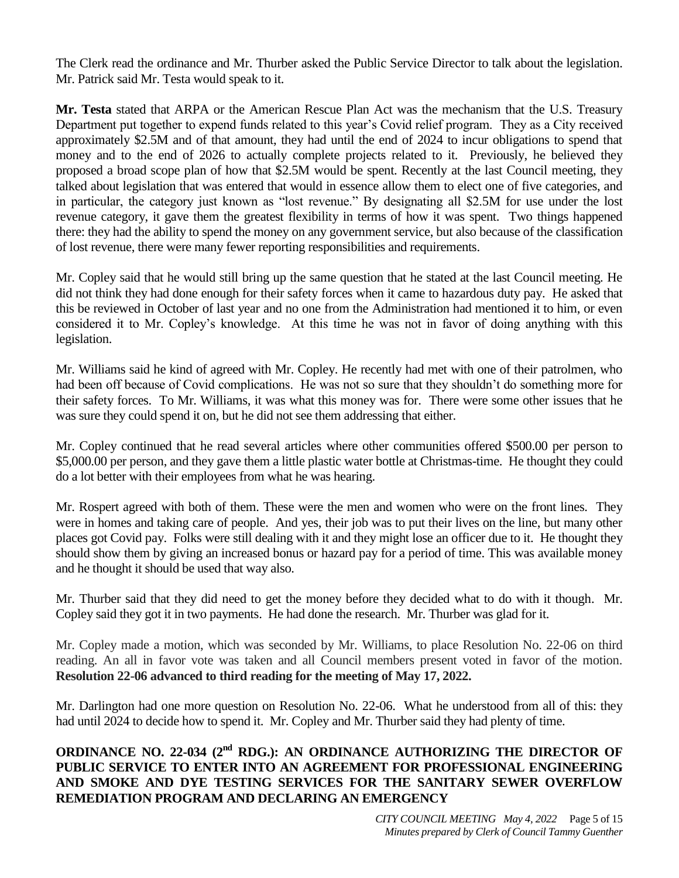The Clerk read the ordinance and Mr. Thurber asked the Public Service Director to talk about the legislation. Mr. Patrick said Mr. Testa would speak to it.

**Mr. Testa** stated that ARPA or the American Rescue Plan Act was the mechanism that the U.S. Treasury Department put together to expend funds related to this year's Covid relief program. They as a City received approximately \$2.5M and of that amount, they had until the end of 2024 to incur obligations to spend that money and to the end of 2026 to actually complete projects related to it. Previously, he believed they proposed a broad scope plan of how that \$2.5M would be spent. Recently at the last Council meeting, they talked about legislation that was entered that would in essence allow them to elect one of five categories, and in particular, the category just known as "lost revenue." By designating all \$2.5M for use under the lost revenue category, it gave them the greatest flexibility in terms of how it was spent. Two things happened there: they had the ability to spend the money on any government service, but also because of the classification of lost revenue, there were many fewer reporting responsibilities and requirements.

Mr. Copley said that he would still bring up the same question that he stated at the last Council meeting. He did not think they had done enough for their safety forces when it came to hazardous duty pay. He asked that this be reviewed in October of last year and no one from the Administration had mentioned it to him, or even considered it to Mr. Copley's knowledge. At this time he was not in favor of doing anything with this legislation.

Mr. Williams said he kind of agreed with Mr. Copley. He recently had met with one of their patrolmen, who had been off because of Covid complications. He was not so sure that they shouldn't do something more for their safety forces. To Mr. Williams, it was what this money was for. There were some other issues that he was sure they could spend it on, but he did not see them addressing that either.

Mr. Copley continued that he read several articles where other communities offered \$500.00 per person to \$5,000.00 per person, and they gave them a little plastic water bottle at Christmas-time. He thought they could do a lot better with their employees from what he was hearing.

Mr. Rospert agreed with both of them. These were the men and women who were on the front lines. They were in homes and taking care of people. And yes, their job was to put their lives on the line, but many other places got Covid pay. Folks were still dealing with it and they might lose an officer due to it. He thought they should show them by giving an increased bonus or hazard pay for a period of time. This was available money and he thought it should be used that way also.

Mr. Thurber said that they did need to get the money before they decided what to do with it though. Mr. Copley said they got it in two payments. He had done the research. Mr. Thurber was glad for it.

Mr. Copley made a motion, which was seconded by Mr. Williams, to place Resolution No. 22-06 on third reading. An all in favor vote was taken and all Council members present voted in favor of the motion. **Resolution 22-06 advanced to third reading for the meeting of May 17, 2022.**

Mr. Darlington had one more question on Resolution No. 22-06. What he understood from all of this: they had until 2024 to decide how to spend it. Mr. Copley and Mr. Thurber said they had plenty of time.

## **ORDINANCE NO. 22-034 (2<sup>nd</sup> RDG.): AN ORDINANCE AUTHORIZING THE DIRECTOR OF PUBLIC SERVICE TO ENTER INTO AN AGREEMENT FOR PROFESSIONAL ENGINEERING AND SMOKE AND DYE TESTING SERVICES FOR THE SANITARY SEWER OVERFLOW REMEDIATION PROGRAM AND DECLARING AN EMERGENCY**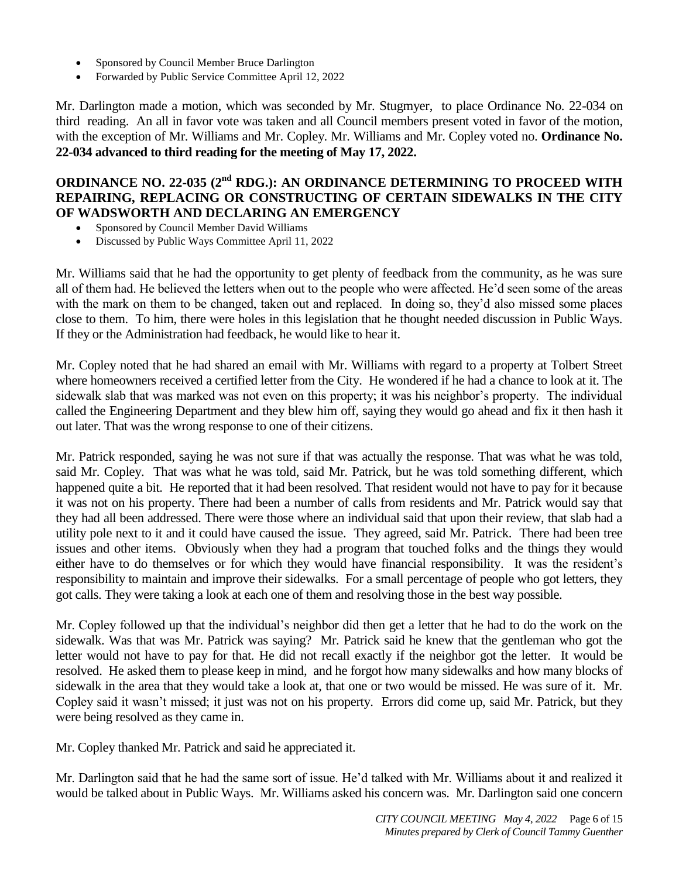- Sponsored by Council Member Bruce Darlington
- Forwarded by Public Service Committee April 12, 2022

Mr. Darlington made a motion, which was seconded by Mr. Stugmyer, to place Ordinance No. 22-034 on third reading. An all in favor vote was taken and all Council members present voted in favor of the motion, with the exception of Mr. Williams and Mr. Copley. Mr. Williams and Mr. Copley voted no. **Ordinance No. 22-034 advanced to third reading for the meeting of May 17, 2022.**

# **ORDINANCE NO. 22-035 (2nd RDG.): AN ORDINANCE DETERMINING TO PROCEED WITH REPAIRING, REPLACING OR CONSTRUCTING OF CERTAIN SIDEWALKS IN THE CITY OF WADSWORTH AND DECLARING AN EMERGENCY**

- Sponsored by Council Member David Williams
- Discussed by Public Ways Committee April 11, 2022

Mr. Williams said that he had the opportunity to get plenty of feedback from the community, as he was sure all of them had. He believed the letters when out to the people who were affected. He'd seen some of the areas with the mark on them to be changed, taken out and replaced. In doing so, they'd also missed some places close to them. To him, there were holes in this legislation that he thought needed discussion in Public Ways. If they or the Administration had feedback, he would like to hear it.

Mr. Copley noted that he had shared an email with Mr. Williams with regard to a property at Tolbert Street where homeowners received a certified letter from the City. He wondered if he had a chance to look at it. The sidewalk slab that was marked was not even on this property; it was his neighbor's property. The individual called the Engineering Department and they blew him off, saying they would go ahead and fix it then hash it out later. That was the wrong response to one of their citizens.

Mr. Patrick responded, saying he was not sure if that was actually the response. That was what he was told, said Mr. Copley. That was what he was told, said Mr. Patrick, but he was told something different, which happened quite a bit. He reported that it had been resolved. That resident would not have to pay for it because it was not on his property. There had been a number of calls from residents and Mr. Patrick would say that they had all been addressed. There were those where an individual said that upon their review, that slab had a utility pole next to it and it could have caused the issue. They agreed, said Mr. Patrick. There had been tree issues and other items. Obviously when they had a program that touched folks and the things they would either have to do themselves or for which they would have financial responsibility. It was the resident's responsibility to maintain and improve their sidewalks. For a small percentage of people who got letters, they got calls. They were taking a look at each one of them and resolving those in the best way possible.

Mr. Copley followed up that the individual's neighbor did then get a letter that he had to do the work on the sidewalk. Was that was Mr. Patrick was saying? Mr. Patrick said he knew that the gentleman who got the letter would not have to pay for that. He did not recall exactly if the neighbor got the letter. It would be resolved. He asked them to please keep in mind, and he forgot how many sidewalks and how many blocks of sidewalk in the area that they would take a look at, that one or two would be missed. He was sure of it. Mr. Copley said it wasn't missed; it just was not on his property. Errors did come up, said Mr. Patrick, but they were being resolved as they came in.

Mr. Copley thanked Mr. Patrick and said he appreciated it.

Mr. Darlington said that he had the same sort of issue. He'd talked with Mr. Williams about it and realized it would be talked about in Public Ways. Mr. Williams asked his concern was. Mr. Darlington said one concern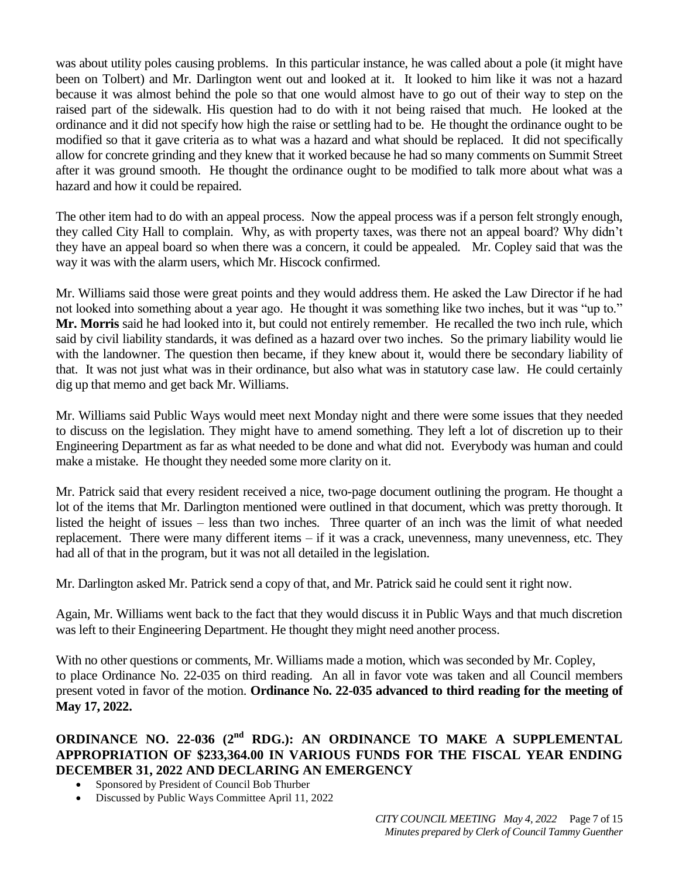was about utility poles causing problems. In this particular instance, he was called about a pole (it might have been on Tolbert) and Mr. Darlington went out and looked at it. It looked to him like it was not a hazard because it was almost behind the pole so that one would almost have to go out of their way to step on the raised part of the sidewalk. His question had to do with it not being raised that much. He looked at the ordinance and it did not specify how high the raise or settling had to be. He thought the ordinance ought to be modified so that it gave criteria as to what was a hazard and what should be replaced. It did not specifically allow for concrete grinding and they knew that it worked because he had so many comments on Summit Street after it was ground smooth. He thought the ordinance ought to be modified to talk more about what was a hazard and how it could be repaired.

The other item had to do with an appeal process. Now the appeal process was if a person felt strongly enough, they called City Hall to complain. Why, as with property taxes, was there not an appeal board? Why didn't they have an appeal board so when there was a concern, it could be appealed. Mr. Copley said that was the way it was with the alarm users, which Mr. Hiscock confirmed.

Mr. Williams said those were great points and they would address them. He asked the Law Director if he had not looked into something about a year ago. He thought it was something like two inches, but it was "up to." **Mr. Morris** said he had looked into it, but could not entirely remember. He recalled the two inch rule, which said by civil liability standards, it was defined as a hazard over two inches. So the primary liability would lie with the landowner. The question then became, if they knew about it, would there be secondary liability of that. It was not just what was in their ordinance, but also what was in statutory case law. He could certainly dig up that memo and get back Mr. Williams.

Mr. Williams said Public Ways would meet next Monday night and there were some issues that they needed to discuss on the legislation. They might have to amend something. They left a lot of discretion up to their Engineering Department as far as what needed to be done and what did not. Everybody was human and could make a mistake. He thought they needed some more clarity on it.

Mr. Patrick said that every resident received a nice, two-page document outlining the program. He thought a lot of the items that Mr. Darlington mentioned were outlined in that document, which was pretty thorough. It listed the height of issues – less than two inches. Three quarter of an inch was the limit of what needed replacement. There were many different items – if it was a crack, unevenness, many unevenness, etc. They had all of that in the program, but it was not all detailed in the legislation.

Mr. Darlington asked Mr. Patrick send a copy of that, and Mr. Patrick said he could sent it right now.

Again, Mr. Williams went back to the fact that they would discuss it in Public Ways and that much discretion was left to their Engineering Department. He thought they might need another process.

With no other questions or comments, Mr. Williams made a motion, which was seconded by Mr. Copley, to place Ordinance No. 22-035 on third reading. An all in favor vote was taken and all Council members present voted in favor of the motion. **Ordinance No. 22-035 advanced to third reading for the meeting of May 17, 2022.**

## **ORDINANCE NO. 22-036 (2<sup>nd</sup> RDG.): AN ORDINANCE TO MAKE A SUPPLEMENTAL APPROPRIATION OF \$233,364.00 IN VARIOUS FUNDS FOR THE FISCAL YEAR ENDING DECEMBER 31, 2022 AND DECLARING AN EMERGENCY**

- Sponsored by President of Council Bob Thurber
- Discussed by Public Ways Committee April 11, 2022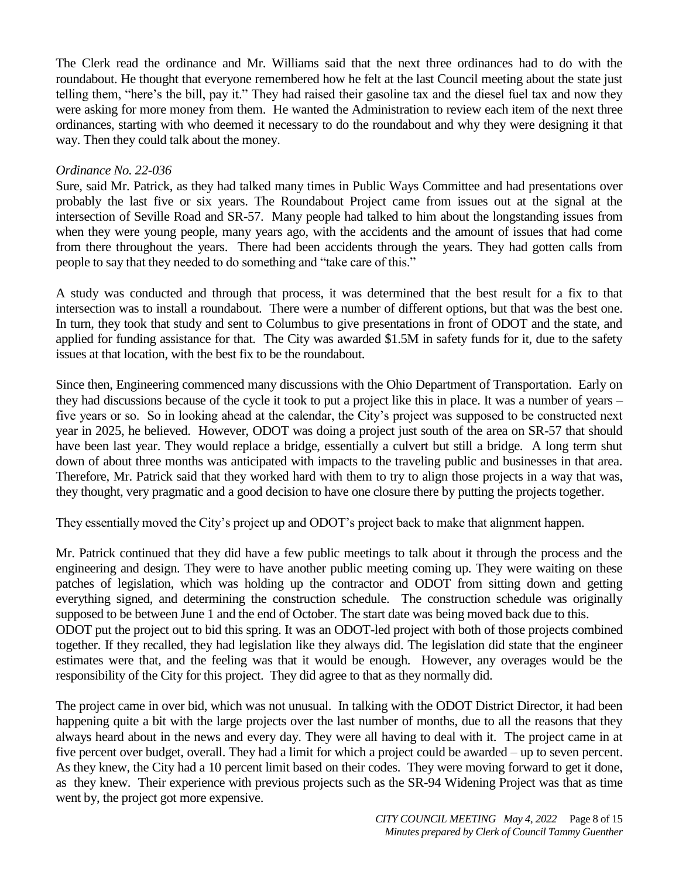The Clerk read the ordinance and Mr. Williams said that the next three ordinances had to do with the roundabout. He thought that everyone remembered how he felt at the last Council meeting about the state just telling them, "here's the bill, pay it." They had raised their gasoline tax and the diesel fuel tax and now they were asking for more money from them. He wanted the Administration to review each item of the next three ordinances, starting with who deemed it necessary to do the roundabout and why they were designing it that way. Then they could talk about the money.

## *Ordinance No. 22-036*

Sure, said Mr. Patrick, as they had talked many times in Public Ways Committee and had presentations over probably the last five or six years. The Roundabout Project came from issues out at the signal at the intersection of Seville Road and SR-57. Many people had talked to him about the longstanding issues from when they were young people, many years ago, with the accidents and the amount of issues that had come from there throughout the years. There had been accidents through the years. They had gotten calls from people to say that they needed to do something and "take care of this."

A study was conducted and through that process, it was determined that the best result for a fix to that intersection was to install a roundabout. There were a number of different options, but that was the best one. In turn, they took that study and sent to Columbus to give presentations in front of ODOT and the state, and applied for funding assistance for that. The City was awarded \$1.5M in safety funds for it, due to the safety issues at that location, with the best fix to be the roundabout.

Since then, Engineering commenced many discussions with the Ohio Department of Transportation. Early on they had discussions because of the cycle it took to put a project like this in place. It was a number of years – five years or so. So in looking ahead at the calendar, the City's project was supposed to be constructed next year in 2025, he believed. However, ODOT was doing a project just south of the area on SR-57 that should have been last year. They would replace a bridge, essentially a culvert but still a bridge. A long term shut down of about three months was anticipated with impacts to the traveling public and businesses in that area. Therefore, Mr. Patrick said that they worked hard with them to try to align those projects in a way that was, they thought, very pragmatic and a good decision to have one closure there by putting the projects together.

They essentially moved the City's project up and ODOT's project back to make that alignment happen.

Mr. Patrick continued that they did have a few public meetings to talk about it through the process and the engineering and design. They were to have another public meeting coming up. They were waiting on these patches of legislation, which was holding up the contractor and ODOT from sitting down and getting everything signed, and determining the construction schedule. The construction schedule was originally supposed to be between June 1 and the end of October. The start date was being moved back due to this. ODOT put the project out to bid this spring. It was an ODOT-led project with both of those projects combined together. If they recalled, they had legislation like they always did. The legislation did state that the engineer estimates were that, and the feeling was that it would be enough. However, any overages would be the responsibility of the City for this project. They did agree to that as they normally did.

The project came in over bid, which was not unusual. In talking with the ODOT District Director, it had been happening quite a bit with the large projects over the last number of months, due to all the reasons that they always heard about in the news and every day. They were all having to deal with it. The project came in at five percent over budget, overall. They had a limit for which a project could be awarded – up to seven percent. As they knew, the City had a 10 percent limit based on their codes. They were moving forward to get it done, as they knew. Their experience with previous projects such as the SR-94 Widening Project was that as time went by, the project got more expensive.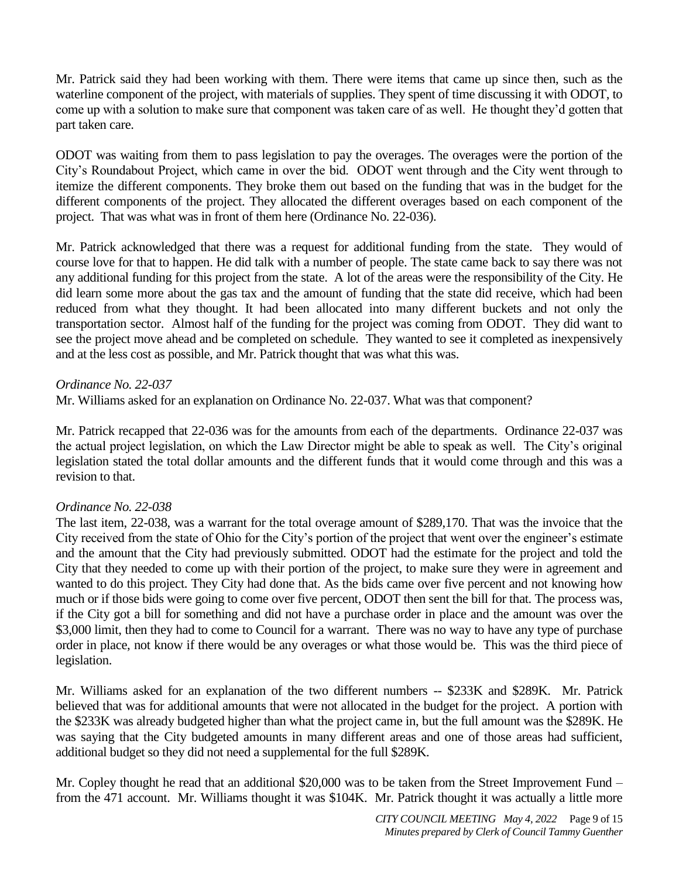Mr. Patrick said they had been working with them. There were items that came up since then, such as the waterline component of the project, with materials of supplies. They spent of time discussing it with ODOT, to come up with a solution to make sure that component was taken care of as well. He thought they'd gotten that part taken care.

ODOT was waiting from them to pass legislation to pay the overages. The overages were the portion of the City's Roundabout Project, which came in over the bid. ODOT went through and the City went through to itemize the different components. They broke them out based on the funding that was in the budget for the different components of the project. They allocated the different overages based on each component of the project. That was what was in front of them here (Ordinance No. 22-036).

Mr. Patrick acknowledged that there was a request for additional funding from the state. They would of course love for that to happen. He did talk with a number of people. The state came back to say there was not any additional funding for this project from the state. A lot of the areas were the responsibility of the City. He did learn some more about the gas tax and the amount of funding that the state did receive, which had been reduced from what they thought. It had been allocated into many different buckets and not only the transportation sector. Almost half of the funding for the project was coming from ODOT. They did want to see the project move ahead and be completed on schedule. They wanted to see it completed as inexpensively and at the less cost as possible, and Mr. Patrick thought that was what this was.

## *Ordinance No. 22-037*

Mr. Williams asked for an explanation on Ordinance No. 22-037. What was that component?

Mr. Patrick recapped that 22-036 was for the amounts from each of the departments. Ordinance 22-037 was the actual project legislation, on which the Law Director might be able to speak as well. The City's original legislation stated the total dollar amounts and the different funds that it would come through and this was a revision to that.

## *Ordinance No. 22-038*

The last item, 22-038, was a warrant for the total overage amount of \$289,170. That was the invoice that the City received from the state of Ohio for the City's portion of the project that went over the engineer's estimate and the amount that the City had previously submitted. ODOT had the estimate for the project and told the City that they needed to come up with their portion of the project, to make sure they were in agreement and wanted to do this project. They City had done that. As the bids came over five percent and not knowing how much or if those bids were going to come over five percent, ODOT then sent the bill for that. The process was, if the City got a bill for something and did not have a purchase order in place and the amount was over the \$3,000 limit, then they had to come to Council for a warrant. There was no way to have any type of purchase order in place, not know if there would be any overages or what those would be. This was the third piece of legislation.

Mr. Williams asked for an explanation of the two different numbers -- \$233K and \$289K. Mr. Patrick believed that was for additional amounts that were not allocated in the budget for the project. A portion with the \$233K was already budgeted higher than what the project came in, but the full amount was the \$289K. He was saying that the City budgeted amounts in many different areas and one of those areas had sufficient, additional budget so they did not need a supplemental for the full \$289K.

Mr. Copley thought he read that an additional \$20,000 was to be taken from the Street Improvement Fund – from the 471 account. Mr. Williams thought it was \$104K. Mr. Patrick thought it was actually a little more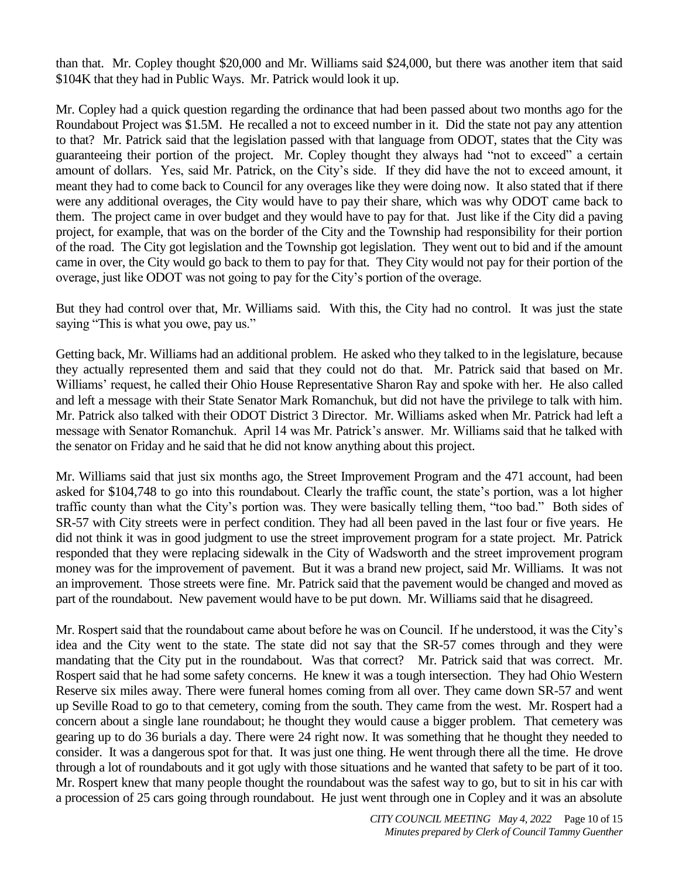than that. Mr. Copley thought \$20,000 and Mr. Williams said \$24,000, but there was another item that said \$104K that they had in Public Ways. Mr. Patrick would look it up.

Mr. Copley had a quick question regarding the ordinance that had been passed about two months ago for the Roundabout Project was \$1.5M. He recalled a not to exceed number in it. Did the state not pay any attention to that? Mr. Patrick said that the legislation passed with that language from ODOT, states that the City was guaranteeing their portion of the project. Mr. Copley thought they always had "not to exceed" a certain amount of dollars. Yes, said Mr. Patrick, on the City's side. If they did have the not to exceed amount, it meant they had to come back to Council for any overages like they were doing now. It also stated that if there were any additional overages, the City would have to pay their share, which was why ODOT came back to them. The project came in over budget and they would have to pay for that. Just like if the City did a paving project, for example, that was on the border of the City and the Township had responsibility for their portion of the road. The City got legislation and the Township got legislation. They went out to bid and if the amount came in over, the City would go back to them to pay for that. They City would not pay for their portion of the overage, just like ODOT was not going to pay for the City's portion of the overage.

But they had control over that, Mr. Williams said. With this, the City had no control. It was just the state saying "This is what you owe, pay us."

Getting back, Mr. Williams had an additional problem. He asked who they talked to in the legislature, because they actually represented them and said that they could not do that. Mr. Patrick said that based on Mr. Williams' request, he called their Ohio House Representative Sharon Ray and spoke with her. He also called and left a message with their State Senator Mark Romanchuk, but did not have the privilege to talk with him. Mr. Patrick also talked with their ODOT District 3 Director. Mr. Williams asked when Mr. Patrick had left a message with Senator Romanchuk. April 14 was Mr. Patrick's answer. Mr. Williams said that he talked with the senator on Friday and he said that he did not know anything about this project.

Mr. Williams said that just six months ago, the Street Improvement Program and the 471 account, had been asked for \$104,748 to go into this roundabout. Clearly the traffic count, the state's portion, was a lot higher traffic county than what the City's portion was. They were basically telling them, "too bad." Both sides of SR-57 with City streets were in perfect condition. They had all been paved in the last four or five years. He did not think it was in good judgment to use the street improvement program for a state project. Mr. Patrick responded that they were replacing sidewalk in the City of Wadsworth and the street improvement program money was for the improvement of pavement. But it was a brand new project, said Mr. Williams. It was not an improvement. Those streets were fine. Mr. Patrick said that the pavement would be changed and moved as part of the roundabout. New pavement would have to be put down. Mr. Williams said that he disagreed.

Mr. Rospert said that the roundabout came about before he was on Council. If he understood, it was the City's idea and the City went to the state. The state did not say that the SR-57 comes through and they were mandating that the City put in the roundabout. Was that correct? Mr. Patrick said that was correct. Mr. Rospert said that he had some safety concerns. He knew it was a tough intersection. They had Ohio Western Reserve six miles away. There were funeral homes coming from all over. They came down SR-57 and went up Seville Road to go to that cemetery, coming from the south. They came from the west. Mr. Rospert had a concern about a single lane roundabout; he thought they would cause a bigger problem. That cemetery was gearing up to do 36 burials a day. There were 24 right now. It was something that he thought they needed to consider. It was a dangerous spot for that. It was just one thing. He went through there all the time. He drove through a lot of roundabouts and it got ugly with those situations and he wanted that safety to be part of it too. Mr. Rospert knew that many people thought the roundabout was the safest way to go, but to sit in his car with a procession of 25 cars going through roundabout. He just went through one in Copley and it was an absolute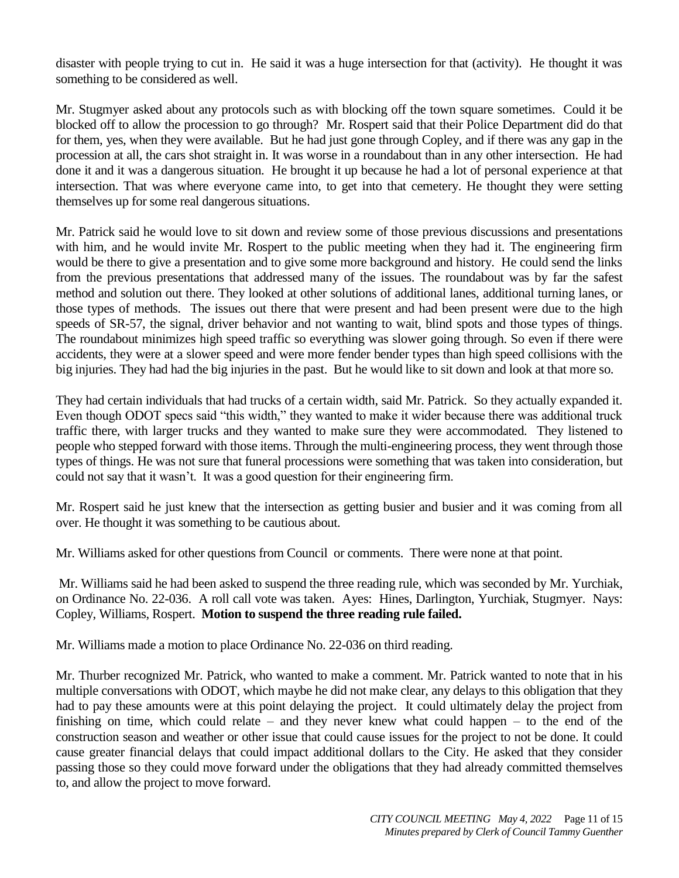disaster with people trying to cut in. He said it was a huge intersection for that (activity). He thought it was something to be considered as well.

Mr. Stugmyer asked about any protocols such as with blocking off the town square sometimes. Could it be blocked off to allow the procession to go through? Mr. Rospert said that their Police Department did do that for them, yes, when they were available. But he had just gone through Copley, and if there was any gap in the procession at all, the cars shot straight in. It was worse in a roundabout than in any other intersection. He had done it and it was a dangerous situation. He brought it up because he had a lot of personal experience at that intersection. That was where everyone came into, to get into that cemetery. He thought they were setting themselves up for some real dangerous situations.

Mr. Patrick said he would love to sit down and review some of those previous discussions and presentations with him, and he would invite Mr. Rospert to the public meeting when they had it. The engineering firm would be there to give a presentation and to give some more background and history. He could send the links from the previous presentations that addressed many of the issues. The roundabout was by far the safest method and solution out there. They looked at other solutions of additional lanes, additional turning lanes, or those types of methods. The issues out there that were present and had been present were due to the high speeds of SR-57, the signal, driver behavior and not wanting to wait, blind spots and those types of things. The roundabout minimizes high speed traffic so everything was slower going through. So even if there were accidents, they were at a slower speed and were more fender bender types than high speed collisions with the big injuries. They had had the big injuries in the past. But he would like to sit down and look at that more so.

They had certain individuals that had trucks of a certain width, said Mr. Patrick. So they actually expanded it. Even though ODOT specs said "this width," they wanted to make it wider because there was additional truck traffic there, with larger trucks and they wanted to make sure they were accommodated. They listened to people who stepped forward with those items. Through the multi-engineering process, they went through those types of things. He was not sure that funeral processions were something that was taken into consideration, but could not say that it wasn't. It was a good question for their engineering firm.

Mr. Rospert said he just knew that the intersection as getting busier and busier and it was coming from all over. He thought it was something to be cautious about.

Mr. Williams asked for other questions from Council or comments. There were none at that point.

Mr. Williams said he had been asked to suspend the three reading rule, which was seconded by Mr. Yurchiak, on Ordinance No. 22-036. A roll call vote was taken. Ayes: Hines, Darlington, Yurchiak, Stugmyer. Nays: Copley, Williams, Rospert. **Motion to suspend the three reading rule failed.**

Mr. Williams made a motion to place Ordinance No. 22-036 on third reading.

Mr. Thurber recognized Mr. Patrick, who wanted to make a comment. Mr. Patrick wanted to note that in his multiple conversations with ODOT, which maybe he did not make clear, any delays to this obligation that they had to pay these amounts were at this point delaying the project. It could ultimately delay the project from finishing on time, which could relate – and they never knew what could happen – to the end of the construction season and weather or other issue that could cause issues for the project to not be done. It could cause greater financial delays that could impact additional dollars to the City. He asked that they consider passing those so they could move forward under the obligations that they had already committed themselves to, and allow the project to move forward.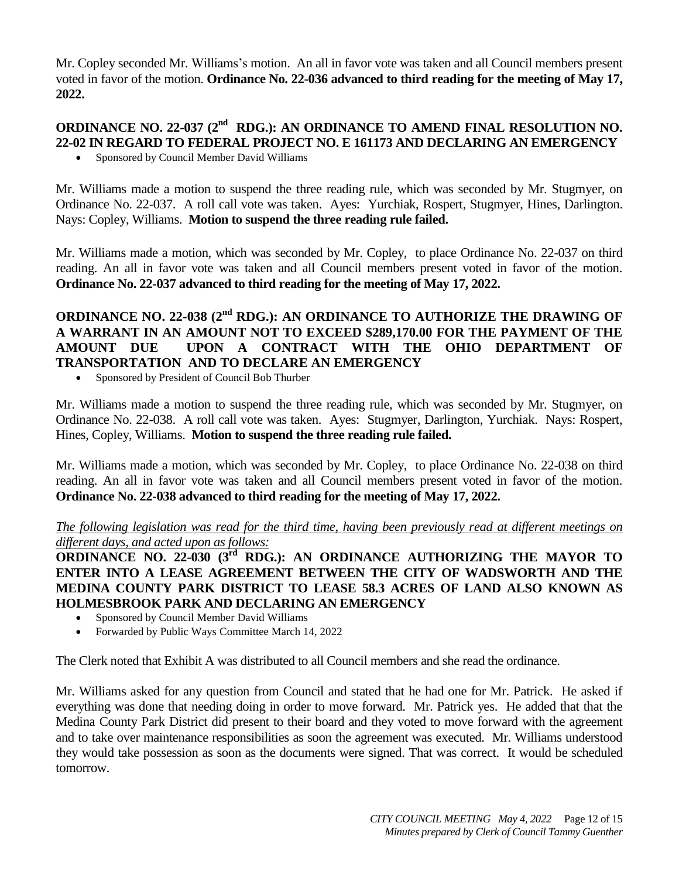Mr. Copley seconded Mr. Williams's motion. An all in favor vote was taken and all Council members present voted in favor of the motion. **Ordinance No. 22-036 advanced to third reading for the meeting of May 17, 2022.**

# **ORDINANCE NO. 22-037 (2<sup>nd</sup> RDG.): AN ORDINANCE TO AMEND FINAL RESOLUTION NO. 22-02 IN REGARD TO FEDERAL PROJECT NO. E 161173 AND DECLARING AN EMERGENCY**

• Sponsored by Council Member David Williams

Mr. Williams made a motion to suspend the three reading rule, which was seconded by Mr. Stugmyer, on Ordinance No. 22-037. A roll call vote was taken. Ayes: Yurchiak, Rospert, Stugmyer, Hines, Darlington. Nays: Copley, Williams. **Motion to suspend the three reading rule failed.**

Mr. Williams made a motion, which was seconded by Mr. Copley, to place Ordinance No. 22-037 on third reading. An all in favor vote was taken and all Council members present voted in favor of the motion. **Ordinance No. 22-037 advanced to third reading for the meeting of May 17, 2022.**

# **ORDINANCE NO. 22-038 (2<sup>nd</sup> RDG.): AN ORDINANCE TO AUTHORIZE THE DRAWING OF A WARRANT IN AN AMOUNT NOT TO EXCEED \$289,170.00 FOR THE PAYMENT OF THE AMOUNT DUE UPON A CONTRACT WITH THE OHIO DEPARTMENT OF TRANSPORTATION AND TO DECLARE AN EMERGENCY**

Sponsored by President of Council Bob Thurber

Mr. Williams made a motion to suspend the three reading rule, which was seconded by Mr. Stugmyer, on Ordinance No. 22-038. A roll call vote was taken. Ayes: Stugmyer, Darlington, Yurchiak. Nays: Rospert, Hines, Copley, Williams. **Motion to suspend the three reading rule failed.**

Mr. Williams made a motion, which was seconded by Mr. Copley, to place Ordinance No. 22-038 on third reading. An all in favor vote was taken and all Council members present voted in favor of the motion. **Ordinance No. 22-038 advanced to third reading for the meeting of May 17, 2022.**

*The following legislation was read for the third time, having been previously read at different meetings on different days, and acted upon as follows:* 

ORDINANCE NO. 22-030 (3<sup>rd</sup> RDG.): AN ORDINANCE AUTHORIZING THE MAYOR TO **ENTER INTO A LEASE AGREEMENT BETWEEN THE CITY OF WADSWORTH AND THE MEDINA COUNTY PARK DISTRICT TO LEASE 58.3 ACRES OF LAND ALSO KNOWN AS HOLMESBROOK PARK AND DECLARING AN EMERGENCY**

- Sponsored by Council Member David Williams
- Forwarded by Public Ways Committee March 14, 2022

The Clerk noted that Exhibit A was distributed to all Council members and she read the ordinance.

Mr. Williams asked for any question from Council and stated that he had one for Mr. Patrick. He asked if everything was done that needing doing in order to move forward. Mr. Patrick yes. He added that that the Medina County Park District did present to their board and they voted to move forward with the agreement and to take over maintenance responsibilities as soon the agreement was executed. Mr. Williams understood they would take possession as soon as the documents were signed. That was correct. It would be scheduled tomorrow.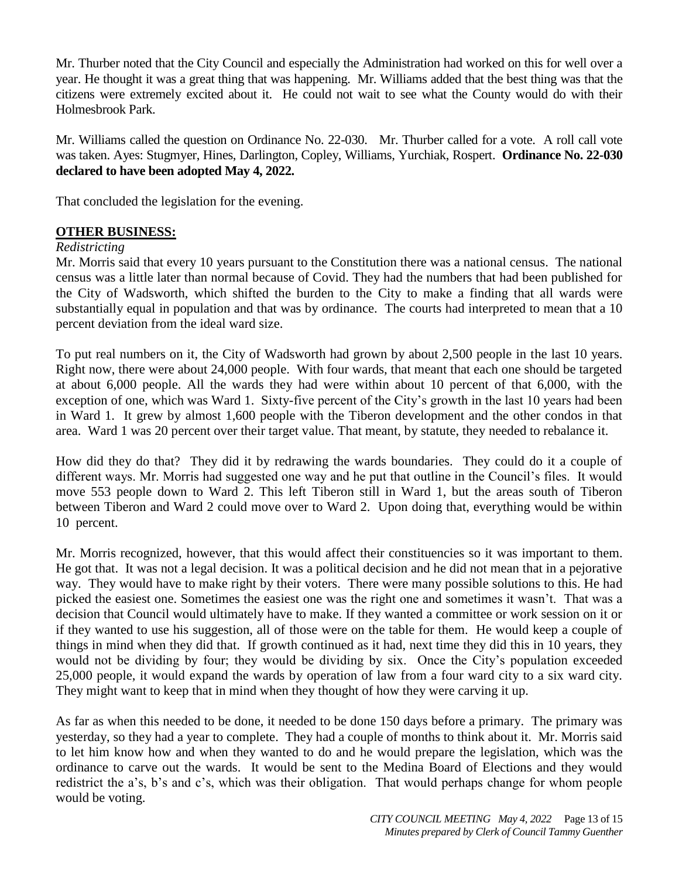Mr. Thurber noted that the City Council and especially the Administration had worked on this for well over a year. He thought it was a great thing that was happening. Mr. Williams added that the best thing was that the citizens were extremely excited about it. He could not wait to see what the County would do with their Holmesbrook Park.

Mr. Williams called the question on Ordinance No. 22-030. Mr. Thurber called for a vote. A roll call vote was taken. Ayes: Stugmyer, Hines, Darlington, Copley, Williams, Yurchiak, Rospert. **Ordinance No. 22-030 declared to have been adopted May 4, 2022.**

That concluded the legislation for the evening.

## **OTHER BUSINESS:**

#### *Redistricting*

Mr. Morris said that every 10 years pursuant to the Constitution there was a national census. The national census was a little later than normal because of Covid. They had the numbers that had been published for the City of Wadsworth, which shifted the burden to the City to make a finding that all wards were substantially equal in population and that was by ordinance. The courts had interpreted to mean that a 10 percent deviation from the ideal ward size.

To put real numbers on it, the City of Wadsworth had grown by about 2,500 people in the last 10 years. Right now, there were about 24,000 people. With four wards, that meant that each one should be targeted at about 6,000 people. All the wards they had were within about 10 percent of that 6,000, with the exception of one, which was Ward 1. Sixty-five percent of the City's growth in the last 10 years had been in Ward 1. It grew by almost 1,600 people with the Tiberon development and the other condos in that area. Ward 1 was 20 percent over their target value. That meant, by statute, they needed to rebalance it.

How did they do that? They did it by redrawing the wards boundaries. They could do it a couple of different ways. Mr. Morris had suggested one way and he put that outline in the Council's files. It would move 553 people down to Ward 2. This left Tiberon still in Ward 1, but the areas south of Tiberon between Tiberon and Ward 2 could move over to Ward 2. Upon doing that, everything would be within 10 percent.

Mr. Morris recognized, however, that this would affect their constituencies so it was important to them. He got that. It was not a legal decision. It was a political decision and he did not mean that in a pejorative way. They would have to make right by their voters. There were many possible solutions to this. He had picked the easiest one. Sometimes the easiest one was the right one and sometimes it wasn't. That was a decision that Council would ultimately have to make. If they wanted a committee or work session on it or if they wanted to use his suggestion, all of those were on the table for them. He would keep a couple of things in mind when they did that. If growth continued as it had, next time they did this in 10 years, they would not be dividing by four; they would be dividing by six. Once the City's population exceeded 25,000 people, it would expand the wards by operation of law from a four ward city to a six ward city. They might want to keep that in mind when they thought of how they were carving it up.

As far as when this needed to be done, it needed to be done 150 days before a primary. The primary was yesterday, so they had a year to complete. They had a couple of months to think about it. Mr. Morris said to let him know how and when they wanted to do and he would prepare the legislation, which was the ordinance to carve out the wards. It would be sent to the Medina Board of Elections and they would redistrict the a's, b's and c's, which was their obligation. That would perhaps change for whom people would be voting.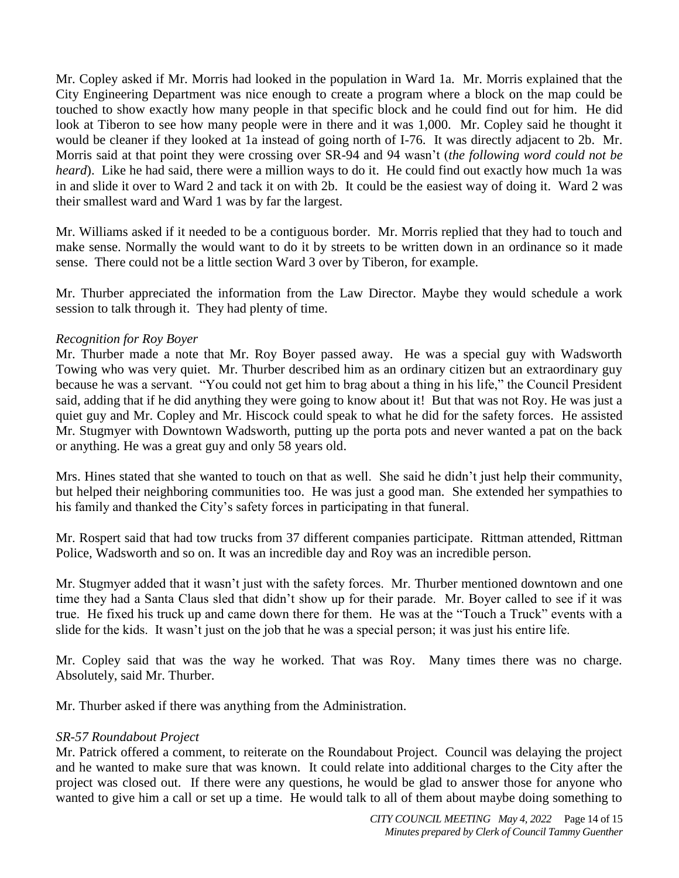Mr. Copley asked if Mr. Morris had looked in the population in Ward 1a. Mr. Morris explained that the City Engineering Department was nice enough to create a program where a block on the map could be touched to show exactly how many people in that specific block and he could find out for him. He did look at Tiberon to see how many people were in there and it was 1,000. Mr. Copley said he thought it would be cleaner if they looked at 1a instead of going north of I-76. It was directly adjacent to 2b. Mr. Morris said at that point they were crossing over SR-94 and 94 wasn't (*the following word could not be heard*). Like he had said, there were a million ways to do it. He could find out exactly how much 1a was in and slide it over to Ward 2 and tack it on with 2b. It could be the easiest way of doing it. Ward 2 was their smallest ward and Ward 1 was by far the largest.

Mr. Williams asked if it needed to be a contiguous border. Mr. Morris replied that they had to touch and make sense. Normally the would want to do it by streets to be written down in an ordinance so it made sense. There could not be a little section Ward 3 over by Tiberon, for example.

Mr. Thurber appreciated the information from the Law Director. Maybe they would schedule a work session to talk through it. They had plenty of time.

## *Recognition for Roy Boyer*

Mr. Thurber made a note that Mr. Roy Boyer passed away. He was a special guy with Wadsworth Towing who was very quiet. Mr. Thurber described him as an ordinary citizen but an extraordinary guy because he was a servant. "You could not get him to brag about a thing in his life," the Council President said, adding that if he did anything they were going to know about it! But that was not Roy. He was just a quiet guy and Mr. Copley and Mr. Hiscock could speak to what he did for the safety forces. He assisted Mr. Stugmyer with Downtown Wadsworth, putting up the porta pots and never wanted a pat on the back or anything. He was a great guy and only 58 years old.

Mrs. Hines stated that she wanted to touch on that as well. She said he didn't just help their community, but helped their neighboring communities too. He was just a good man. She extended her sympathies to his family and thanked the City's safety forces in participating in that funeral.

Mr. Rospert said that had tow trucks from 37 different companies participate. Rittman attended, Rittman Police, Wadsworth and so on. It was an incredible day and Roy was an incredible person.

Mr. Stugmyer added that it wasn't just with the safety forces. Mr. Thurber mentioned downtown and one time they had a Santa Claus sled that didn't show up for their parade. Mr. Boyer called to see if it was true. He fixed his truck up and came down there for them. He was at the "Touch a Truck" events with a slide for the kids. It wasn't just on the job that he was a special person; it was just his entire life.

Mr. Copley said that was the way he worked. That was Roy. Many times there was no charge. Absolutely, said Mr. Thurber.

Mr. Thurber asked if there was anything from the Administration.

#### *SR-57 Roundabout Project*

Mr. Patrick offered a comment, to reiterate on the Roundabout Project. Council was delaying the project and he wanted to make sure that was known. It could relate into additional charges to the City after the project was closed out. If there were any questions, he would be glad to answer those for anyone who wanted to give him a call or set up a time. He would talk to all of them about maybe doing something to